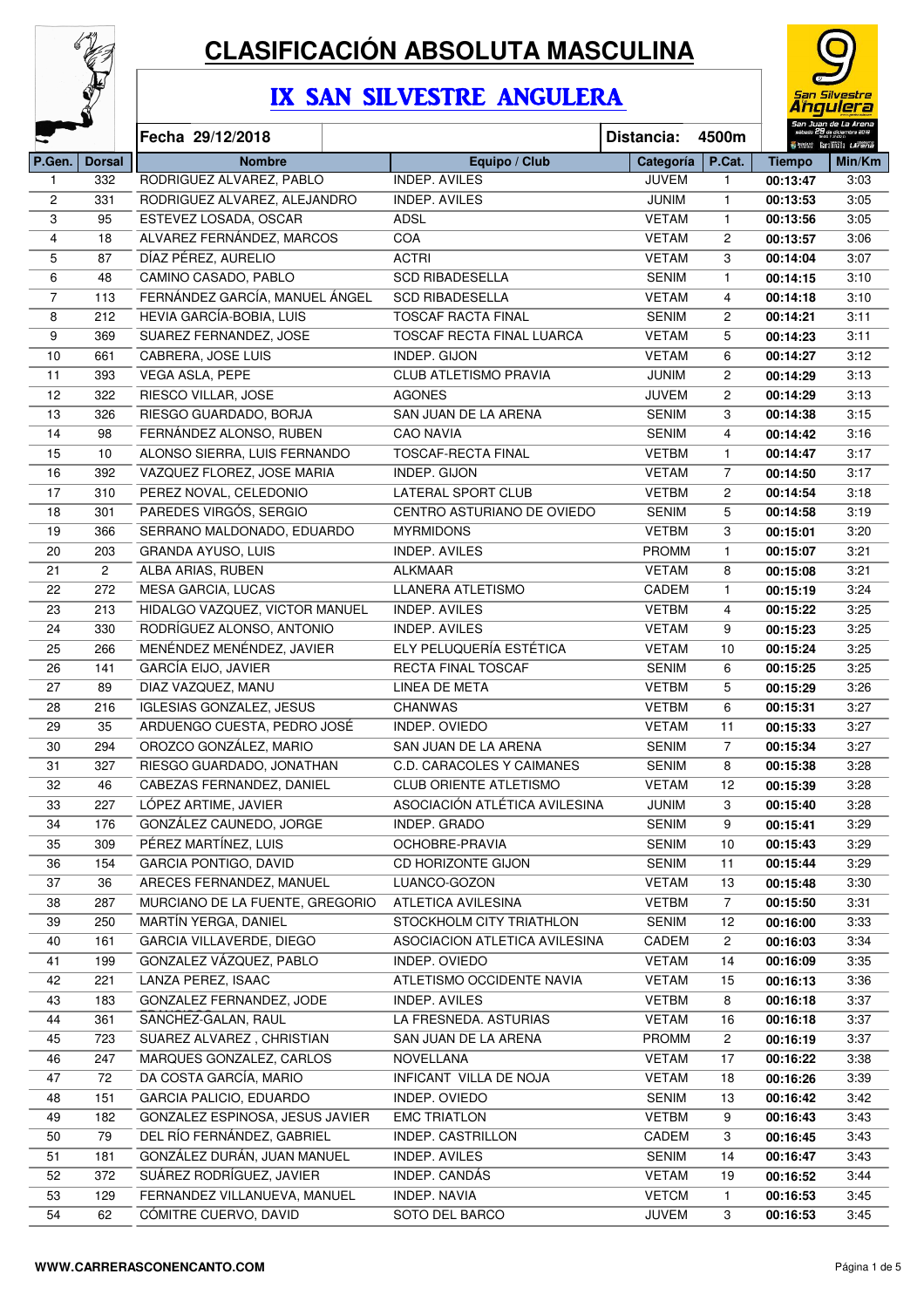

## **CLASIFICACIÓN ABSOLUTA MASCULINA**

## IX SAN SILVESTRE ANGULERA



| ټ              |               | Fecha 29/12/2018                |                               | Distancia:         | 4500m                 |               | 70 T 17.00 h<br>Seems familiaita Larena |
|----------------|---------------|---------------------------------|-------------------------------|--------------------|-----------------------|---------------|-----------------------------------------|
| P.Gen.         | <b>Dorsal</b> | <b>Nombre</b>                   | Equipo / Club                 | Categoría   P.Cat. |                       | <b>Tiempo</b> | Min/Km                                  |
| 1              | 332           | RODRIGUEZ ALVAREZ, PABLO        | <b>INDEP. AVILES</b>          | <b>JUVEM</b>       | $\mathbf{1}$          | 00:13:47      | 3:03                                    |
| $\overline{c}$ | 331           | RODRIGUEZ ALVAREZ, ALEJANDRO    | <b>INDEP. AVILES</b>          | <b>JUNIM</b>       | $\mathbf{1}$          | 00:13:53      | 3:05                                    |
| 3              | 95            | ESTEVEZ LOSADA, OSCAR           | <b>ADSL</b>                   | <b>VETAM</b>       | $\mathbf{1}$          | 00:13:56      | 3:05                                    |
| $\overline{4}$ | 18            | ALVAREZ FERNÁNDEZ, MARCOS       | COA                           | <b>VETAM</b>       | $\overline{2}$        | 00:13:57      | 3:06                                    |
| 5              | 87            | DÍAZ PÉREZ, AURELIO             | <b>ACTRI</b>                  | <b>VETAM</b>       | 3                     | 00:14:04      | 3:07                                    |
| 6              | 48            | CAMINO CASADO, PABLO            | <b>SCD RIBADESELLA</b>        | <b>SENIM</b>       | $\mathbf{1}$          | 00:14:15      | 3:10                                    |
| 7              | 113           | FERNÁNDEZ GARCÍA, MANUEL ÁNGEL  | <b>SCD RIBADESELLA</b>        | <b>VETAM</b>       | 4                     | 00:14:18      | 3:10                                    |
| 8              | 212           | HEVIA GARCÍA-BOBIA, LUIS        | <b>TOSCAF RACTA FINAL</b>     | <b>SENIM</b>       | 2                     | 00:14:21      | 3:11                                    |
| 9              | 369           | SUAREZ FERNANDEZ, JOSE          | TOSCAF RECTA FINAL LUARCA     | <b>VETAM</b>       | 5                     | 00:14:23      | 3:11                                    |
| 10             | 661           | CABRERA, JOSE LUIS              | INDEP. GIJON                  | <b>VETAM</b>       | 6                     | 00:14:27      | 3:12                                    |
| 11             | 393           | VEGA ASLA, PEPE                 | <b>CLUB ATLETISMO PRAVIA</b>  | <b>JUNIM</b>       | $\mathbf{2}^{\prime}$ | 00:14:29      | 3:13                                    |
| 12             | 322           | RIESCO VILLAR, JOSE             | <b>AGONES</b>                 | <b>JUVEM</b>       | $\mathbf{2}^{\prime}$ | 00:14:29      | 3:13                                    |
| 13             | 326           | RIESGO GUARDADO, BORJA          | SAN JUAN DE LA ARENA          | <b>SENIM</b>       | 3                     | 00:14:38      | 3:15                                    |
| 14             | 98            | FERNÁNDEZ ALONSO, RUBEN         | <b>CAO NAVIA</b>              | <b>SENIM</b>       | $\overline{4}$        | 00:14:42      | 3:16                                    |
| 15             | $10$          | ALONSO SIERRA, LUIS FERNANDO    | <b>TOSCAF-RECTA FINAL</b>     | <b>VETBM</b>       | $\mathbf{1}$          | 00:14:47      | 3:17                                    |
| 16             | 392           | VAZQUEZ FLOREZ, JOSE MARIA      | INDEP. GIJON                  | <b>VETAM</b>       | $\overline{7}$        | 00:14:50      | 3:17                                    |
| 17             | 310           | PEREZ NOVAL, CELEDONIO          | <b>LATERAL SPORT CLUB</b>     | <b>VETBM</b>       | 2                     | 00:14:54      | 3:18                                    |
| 18             | 301           | PAREDES VIRGÓS, SERGIO          | CENTRO ASTURIANO DE OVIEDO    | <b>SENIM</b>       | 5                     | 00:14:58      | 3:19                                    |
| 19             | 366           | SERRANO MALDONADO, EDUARDO      | <b>MYRMIDONS</b>              | <b>VETBM</b>       | 3                     | 00:15:01      | 3:20                                    |
| 20             | 203           | GRANDA AYUSO, LUIS              | <b>INDEP. AVILES</b>          | <b>PROMM</b>       | $\mathbf{1}$          | 00:15:07      | 3:21                                    |
| 21             | 2             | ALBA ARIAS, RUBEN               | <b>ALKMAAR</b>                | <b>VETAM</b>       | 8                     | 00:15:08      | 3:21                                    |
| 22             | 272           | MESA GARCIA, LUCAS              | <b>LLANERA ATLETISMO</b>      | CADEM              | 1                     | 00:15:19      | 3:24                                    |
| 23             | 213           | HIDALGO VAZQUEZ, VICTOR MANUEL  | INDEP. AVILES                 | <b>VETBM</b>       | 4                     | 00:15:22      | 3:25                                    |
| 24             | 330           | RODRÍGUEZ ALONSO, ANTONIO       | <b>INDEP. AVILES</b>          | <b>VETAM</b>       | 9                     | 00:15:23      | 3:25                                    |
| 25             | 266           | MENÉNDEZ MENÉNDEZ, JAVIER       | ELY PELUQUERÍA ESTÉTICA       | <b>VETAM</b>       | 10                    | 00:15:24      | 3:25                                    |
| 26             | 141           | <b>GARCÍA EIJO, JAVIER</b>      | RECTA FINAL TOSCAF            | <b>SENIM</b>       | 6                     | 00:15:25      | 3:25                                    |
| 27             | 89            | DIAZ VAZQUEZ, MANU              | LINEA DE META                 | <b>VETBM</b>       | 5                     | 00:15:29      | 3:26                                    |
| 28             | 216           | IGLESIAS GONZALEZ, JESUS        | <b>CHANWAS</b>                | <b>VETBM</b>       | 6                     | 00:15:31      | 3:27                                    |
| 29             | 35            | ARDUENGO CUESTA, PEDRO JOSÉ     | INDEP. OVIEDO                 | <b>VETAM</b>       | 11                    | 00:15:33      | 3:27                                    |
| 30             | 294           | OROZCO GONZÁLEZ, MARIO          | SAN JUAN DE LA ARENA          | <b>SENIM</b>       | $\overline{7}$        | 00:15:34      | 3:27                                    |
| 31             | 327           | RIESGO GUARDADO, JONATHAN       | C.D. CARACOLES Y CAIMANES     | <b>SENIM</b>       | 8                     | 00:15:38      | 3:28                                    |
| 32             | 46            | CABEZAS FERNANDEZ, DANIEL       | <b>CLUB ORIENTE ATLETISMO</b> | <b>VETAM</b>       | 12                    | 00:15:39      | 3:28                                    |
| 33             | 227           | LÓPEZ ARTIME, JAVIER            | ASOCIACIÓN ATLÉTICA AVILESINA | <b>JUNIM</b>       | 3                     | 00:15:40      | 3:28                                    |
| 34             | 176           | GONZÁLEZ CAUNEDO, JORGE         | INDEP. GRADO                  | <b>SENIM</b>       | 9                     | 00:15:41      | 3:29                                    |
| 35             | 309           | PÉREZ MARTÍNEZ, LUIS            | OCHOBRE-PRAVIA                | SENIM              | 10                    | 00:15:43      | 3:29                                    |
| 36             | 154           | GARCIA PONTIGO, DAVID           | CD HORIZONTE GIJON            | SENIM              | 11                    | 00:15:44      | 3:29                                    |
| 37             | 36            | ARECES FERNANDEZ, MANUEL        | LUANCO-GOZON                  | <b>VETAM</b>       | 13                    | 00:15:48      | 3:30                                    |
| 38             | 287           | MURCIANO DE LA FUENTE, GREGORIO | ATLETICA AVILESINA            | VETBM              | 7                     | 00:15:50      | 3:31                                    |
| 39             | 250           | MARTIN YERGA, DANIEL            | STOCKHOLM CITY TRIATHLON      | SENIM              | 12                    | 00:16:00      | 3:33                                    |
| 40             | 161           | GARCIA VILLAVERDE, DIEGO        | ASOCIACION ATLETICA AVILESINA | CADEM              | 2                     | 00:16:03      | 3:34                                    |
| 41             | 199           | GONZALEZ VÁZQUEZ, PABLO         | INDEP. OVIEDO                 | <b>VETAM</b>       | 14                    | 00:16:09      | 3:35                                    |
| 42             | 221           | LANZA PEREZ, ISAAC              | ATLETISMO OCCIDENTE NAVIA     | <b>VETAM</b>       | 15                    | 00:16:13      | 3:36                                    |
| 43             | 183           | GONZALEZ FERNANDEZ, JODE        | INDEP. AVILES                 | <b>VETBM</b>       | 8                     | 00:16:18      | 3:37                                    |
| 44             | 361           | SANCHEZ-GALAN, RAUL             | LA FRESNEDA. ASTURIAS         | <b>VETAM</b>       | 16                    | 00:16:18      | 3:37                                    |
| 45             | 723           | SUAREZ ALVAREZ, CHRISTIAN       | SAN JUAN DE LA ARENA          | <b>PROMM</b>       | $\overline{c}$        | 00:16:19      | 3:37                                    |
| 46             | 247           | MARQUES GONZALEZ, CARLOS        | NOVELLANA                     | <b>VETAM</b>       | 17                    | 00:16:22      | 3:38                                    |
| 47             | 72            | DA COSTA GARCÍA, MARIO          | INFICANT VILLA DE NOJA        | <b>VETAM</b>       | 18                    | 00:16:26      | 3:39                                    |
| 48             | 151           | GARCIA PALICIO, EDUARDO         | INDEP. OVIEDO                 | SENIM              | 13                    | 00:16:42      | 3:42                                    |
| 49             | 182           | GONZALEZ ESPINOSA, JESUS JAVIER | <b>EMC TRIATLON</b>           | <b>VETBM</b>       | 9                     | 00:16:43      | 3:43                                    |
| 50             | 79            | DEL RÍO FERNÁNDEZ, GABRIEL      | INDEP. CASTRILLON             | CADEM              | 3                     | 00:16:45      | 3:43                                    |
| 51             | 181           | GONZÁLEZ DURÁN, JUAN MANUEL     | INDEP. AVILES                 | <b>SENIM</b>       | 14                    | 00:16:47      | 3:43                                    |
| 52             | 372           | SUÁREZ RODRÍGUEZ, JAVIER        | INDEP. CANDÁS                 | <b>VETAM</b>       | 19                    | 00:16:52      | 3:44                                    |
| 53             | 129           | FERNANDEZ VILLANUEVA, MANUEL    | INDEP. NAVIA                  | <b>VETCM</b>       | $\mathbf{1}$          | 00:16:53      | 3:45                                    |
| 54             | 62            | CÓMITRE CUERVO, DAVID           | SOTO DEL BARCO                | JUVEM              | 3                     | 00:16:53      | 3:45                                    |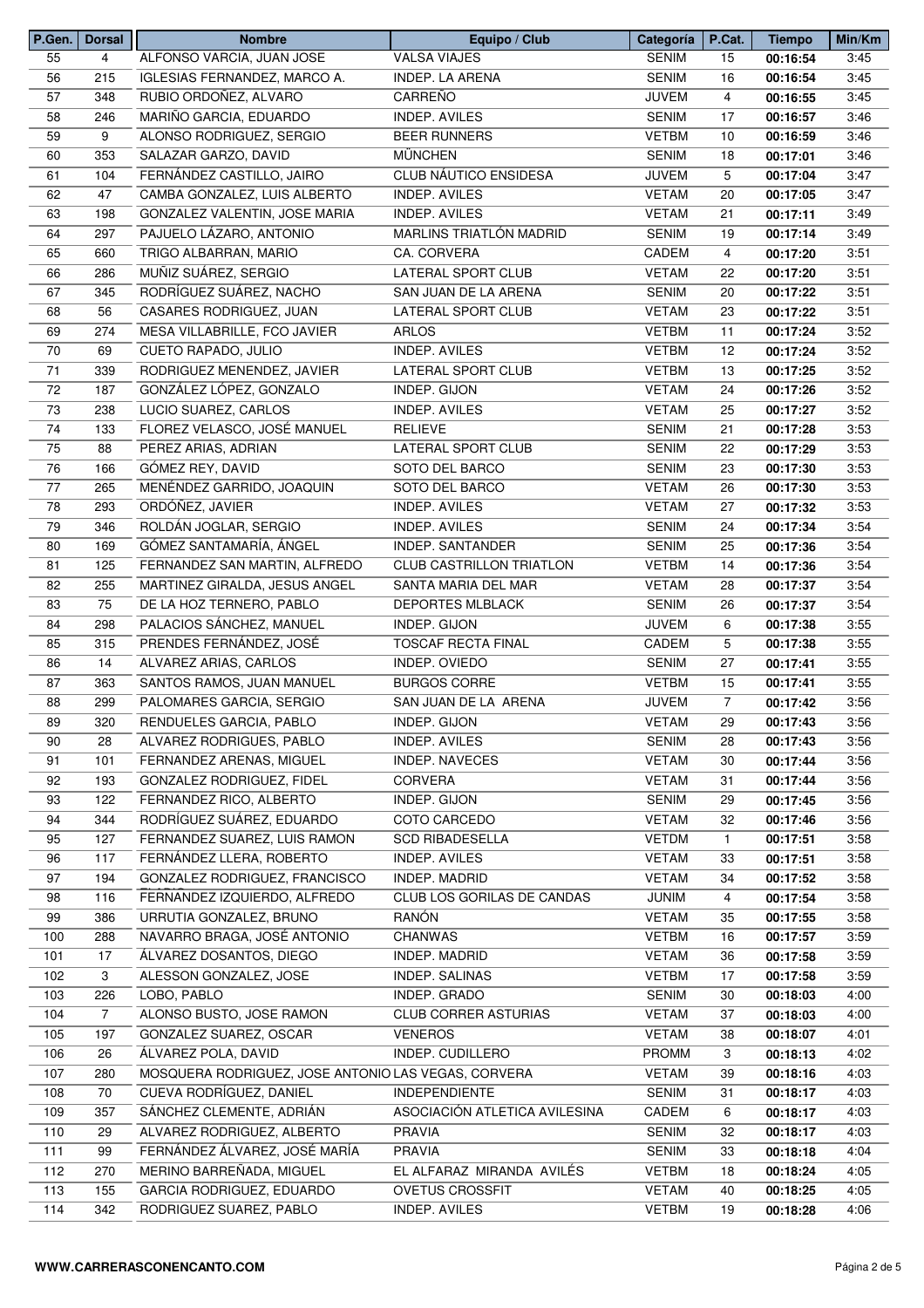| P.Gen.   | <b>Dorsal</b>  | <b>Nombre</b>                                       | Equipo / Club                             | Categoría    | P.Cat.         | <b>Tiempo</b> | Min/Km       |
|----------|----------------|-----------------------------------------------------|-------------------------------------------|--------------|----------------|---------------|--------------|
| 55       | $\overline{4}$ | ALFONSO VARCIA, JUAN JOSE                           | <b>VALSA VIAJES</b>                       | <b>SENIM</b> | 15             | 00:16:54      | 3:45         |
| 56       | 215            | IGLESIAS FERNANDEZ, MARCO A.                        | <b>INDEP. LA ARENA</b>                    | <b>SENIM</b> | 16             | 00:16:54      | 3:45         |
| 57       | 348            | RUBIO ORDOÑEZ, ALVARO                               | CARREÑO                                   | <b>JUVEM</b> | $\overline{4}$ | 00:16:55      | 3:45         |
| 58       | 246            | MARIÑO GARCIA, EDUARDO                              | INDEP. AVILES                             | <b>SENIM</b> | 17             | 00:16:57      | 3:46         |
| 59       | 9              | ALONSO RODRIGUEZ, SERGIO                            | <b>BEER RUNNERS</b>                       | <b>VETBM</b> | 10             | 00:16:59      | 3:46         |
| 60       | 353            | SALAZAR GARZO, DAVID                                | <b>MÜNCHEN</b>                            | <b>SENIM</b> | 18             | 00:17:01      | 3:46         |
| 61       | 104            | FERNÁNDEZ CASTILLO, JAIRO                           | CLUB NÁUTICO ENSIDESA                     | <b>JUVEM</b> | 5              | 00:17:04      | 3:47         |
| 62       | 47             | CAMBA GONZALEZ. LUIS ALBERTO                        | INDEP. AVILES                             | <b>VETAM</b> | 20             | 00:17:05      | 3:47         |
| 63       | 198            | GONZALEZ VALENTIN, JOSE MARIA                       | INDEP. AVILES                             | <b>VETAM</b> | 21             | 00:17:11      | 3:49         |
| 64       | 297            | PAJUELO LÁZARO, ANTONIO                             | MARLINS TRIATLÓN MADRID                   | <b>SENIM</b> | 19             | 00:17:14      | 3:49         |
| 65       | 660            | TRIGO ALBARRAN, MARIO                               | CA. CORVERA                               | CADEM        | 4              | 00:17:20      | 3:51         |
| 66       | 286            | MUÑIZ SUÁREZ, SERGIO                                | LATERAL SPORT CLUB                        | <b>VETAM</b> | 22             | 00:17:20      | 3:51         |
| 67       | 345            | RODRÍGUEZ SUÁREZ, NACHO                             | SAN JUAN DE LA ARENA                      | <b>SENIM</b> | 20             | 00:17:22      | 3:51         |
| 68       | 56             | CASARES RODRIGUEZ, JUAN                             | LATERAL SPORT CLUB                        | <b>VETAM</b> | 23             | 00:17:22      | 3:51         |
| 69       | 274            | MESA VILLABRILLE, FCO JAVIER                        | <b>ARLOS</b>                              | <b>VETBM</b> | 11             | 00:17:24      | 3:52         |
| 70       | 69             | CUETO RAPADO, JULIO                                 | INDEP. AVILES                             | <b>VETBM</b> | 12             | 00:17:24      | 3:52         |
| 71       | 339            | RODRIGUEZ MENENDEZ, JAVIER                          | <b>LATERAL SPORT CLUB</b>                 | <b>VETBM</b> | 13             | 00:17:25      | 3:52         |
| 72       | 187            | GONZÁLEZ LÓPEZ, GONZALO                             | INDEP. GIJON                              | <b>VETAM</b> | 24             | 00:17:26      | 3:52         |
| 73       | 238            | LUCIO SUAREZ, CARLOS                                | <b>INDEP. AVILES</b>                      | <b>VETAM</b> | 25             | 00:17:27      | 3:52         |
| 74       | 133            | FLOREZ VELASCO, JOSÉ MANUEL                         | <b>RELIEVE</b>                            | <b>SENIM</b> | 21             | 00:17:28      | 3:53         |
| 75       | 88             | PEREZ ARIAS, ADRIAN                                 | LATERAL SPORT CLUB                        | <b>SENIM</b> | 22             | 00:17:29      | 3:53         |
| 76       | 166            | GÓMEZ REY, DAVID                                    | SOTO DEL BARCO                            | <b>SENIM</b> | 23             | 00:17:30      | 3:53         |
| 77       | 265            | MENÉNDEZ GARRIDO, JOAQUIN                           | SOTO DEL BARCO                            | <b>VETAM</b> | 26             | 00:17:30      | 3:53         |
| 78       | 293            | ORDÓÑEZ, JAVIER                                     | <b>INDEP. AVILES</b>                      | <b>VETAM</b> | 27             | 00:17:32      | 3:53         |
| 79       | 346            | ROLDÁN JOGLAR, SERGIO                               | INDEP. AVILES                             | <b>SENIM</b> | 24             | 00:17:34      | 3:54         |
|          |                | GÓMEZ SANTAMARÍA, ÁNGEL                             | INDEP. SANTANDER                          | <b>SENIM</b> |                |               | 3:54         |
| 80<br>81 | 169            |                                                     | <b>CLUB CASTRILLON TRIATLON</b>           | <b>VETBM</b> | 25             | 00:17:36      |              |
|          | 125            | FERNANDEZ SAN MARTIN, ALFREDO                       |                                           |              | 14             | 00:17:36      | 3:54         |
| 82       | 255            | MARTINEZ GIRALDA, JESUS ANGEL                       | SANTA MARIA DEL MAR                       | <b>VETAM</b> | 28             | 00:17:37      | 3:54         |
| 83       | 75             | DE LA HOZ TERNERO, PABLO                            | DEPORTES MLBLACK                          | <b>SENIM</b> | 26             | 00:17:37      | 3:54         |
| 84       | 298            | PALACIOS SÁNCHEZ, MANUEL<br>PRENDES FERNÁNDEZ, JOSÉ | INDEP. GIJON<br><b>TOSCAF RECTA FINAL</b> | <b>JUVEM</b> | 6              | 00:17:38      | 3:55<br>3:55 |
| 85       | 315            |                                                     |                                           | CADEM        | 5              | 00:17:38      |              |
| 86       | 14             | ALVAREZ ARIAS, CARLOS                               | INDEP. OVIEDO                             | <b>SENIM</b> | 27             | 00:17:41      | 3:55         |
| 87       | 363            | SANTOS RAMOS, JUAN MANUEL                           | <b>BURGOS CORRE</b>                       | <b>VETBM</b> | 15             | 00:17:41      | 3:55         |
| 88       | 299            | PALOMARES GARCIA, SERGIO                            | SAN JUAN DE LA ARENA                      | <b>JUVEM</b> | $\overline{7}$ | 00:17:42      | 3:56         |
| 89       | 320            | RENDUELES GARCIA, PABLO                             | INDEP. GIJON                              | <b>VETAM</b> | 29             | 00:17:43      | 3:56         |
| 90       | 28             | ALVAREZ RODRIGUES, PABLO                            | INDEP. AVILES                             | <b>SENIM</b> | 28             | 00:17:43      | 3:56         |
| 91       | 101            | FERNANDEZ ARENAS, MIGUEL                            | <b>INDEP. NAVECES</b>                     | <b>VETAM</b> | 30             | 00:17:44      | 3:56         |
| 92       | 193            | GONZALEZ RODRIGUEZ, FIDEL                           | <b>CORVERA</b>                            | <b>VETAM</b> | 31             | 00:17:44      | 3:56         |
| 93       | 122            | FERNANDEZ RICO, ALBERTO                             | INDEP. GIJON                              | <b>SENIM</b> | 29             | 00:17:45      | 3:56         |
| 94       | 344            | RODRÍGUEZ SUÁREZ, EDUARDO                           | COTO CARCEDO                              | <b>VETAM</b> | 32             | 00:17:46      | 3:56         |
| 95       | 127            | FERNANDEZ SUAREZ, LUIS RAMON                        | <b>SCD RIBADESELLA</b>                    | <b>VETDM</b> | $\mathbf{1}$   | 00:17:51      | 3:58         |
| 96       | 117            | FERNÁNDEZ LLERA, ROBERTO                            | INDEP. AVILES                             | <b>VETAM</b> | 33             | 00:17:51      | 3:58         |
| 97       | 194            | GONZALEZ RODRIGUEZ, FRANCISCO                       | INDEP. MADRID                             | <b>VETAM</b> | 34             | 00:17:52      | 3:58         |
| 98       | 116            | FERNANDEZ IZQUIERDO, ALFREDO                        | CLUB LOS GORILAS DE CANDAS                | <b>JUNIM</b> | $\overline{4}$ | 00:17:54      | 3:58         |
| 99       | 386            | URRUTIA GONZALEZ, BRUNO                             | RANÓN                                     | <b>VETAM</b> | 35             | 00:17:55      | 3:58         |
| 100      | 288            | NAVARRO BRAGA, JOSÉ ANTONIO                         | CHANWAS                                   | <b>VETBM</b> | 16             | 00:17:57      | 3:59         |
| 101      | 17             | ÁLVAREZ DOSANTOS, DIEGO                             | INDEP. MADRID                             | <b>VETAM</b> | 36             | 00:17:58      | 3:59         |
| 102      | 3              | ALESSON GONZALEZ, JOSE                              | INDEP. SALINAS                            | <b>VETBM</b> | 17             | 00:17:58      | 3:59         |
| 103      | 226            | LOBO, PABLO                                         | INDEP. GRADO                              | <b>SENIM</b> | 30             | 00:18:03      | 4:00         |
| 104      | $\overline{7}$ | ALONSO BUSTO, JOSE RAMON                            | <b>CLUB CORRER ASTURIAS</b>               | <b>VETAM</b> | 37             | 00:18:03      | 4:00         |
| 105      | 197            | GONZALEZ SUAREZ, OSCAR                              | <b>VENEROS</b>                            | <b>VETAM</b> | 38             | 00:18:07      | 4:01         |
| 106      | 26             | ÁLVAREZ POLA, DAVID                                 | INDEP. CUDILLERO                          | <b>PROMM</b> | 3              | 00:18:13      | 4:02         |
| 107      | 280            | MOSQUERA RODRIGUEZ, JOSE ANTONIO LAS VEGAS, CORVERA |                                           | <b>VETAM</b> | 39             | 00:18:16      | 4:03         |
| 108      | 70             | CUEVA RODRÍGUEZ, DANIEL                             | <b>INDEPENDIENTE</b>                      | <b>SENIM</b> | 31             | 00:18:17      | 4:03         |
| 109      | 357            | SÁNCHEZ CLEMENTE, ADRIÁN                            | ASOCIACIÓN ATLETICA AVILESINA             | CADEM        | 6              | 00:18:17      | 4:03         |
| 110      | 29             | ALVAREZ RODRIGUEZ, ALBERTO                          | PRAVIA                                    | <b>SENIM</b> | 32             | 00:18:17      | 4:03         |
| 111      | 99             | FERNÁNDEZ ÁLVAREZ, JOSÉ MARÍA                       | <b>PRAVIA</b>                             | <b>SENIM</b> | 33             | 00:18:18      | 4:04         |
| 112      | 270            | MERINO BARREÑADA, MIGUEL                            | EL ALFARAZ MIRANDA AVILÉS                 | <b>VETBM</b> | 18             | 00:18:24      | 4:05         |
| 113      | 155            | GARCIA RODRIGUEZ, EDUARDO                           | <b>OVETUS CROSSFIT</b>                    | <b>VETAM</b> | 40             | 00:18:25      | 4:05         |
| 114      | 342            | RODRIGUEZ SUAREZ, PABLO                             | INDEP. AVILES                             | <b>VETBM</b> | 19             | 00:18:28      | 4:06         |
|          |                |                                                     |                                           |              |                |               |              |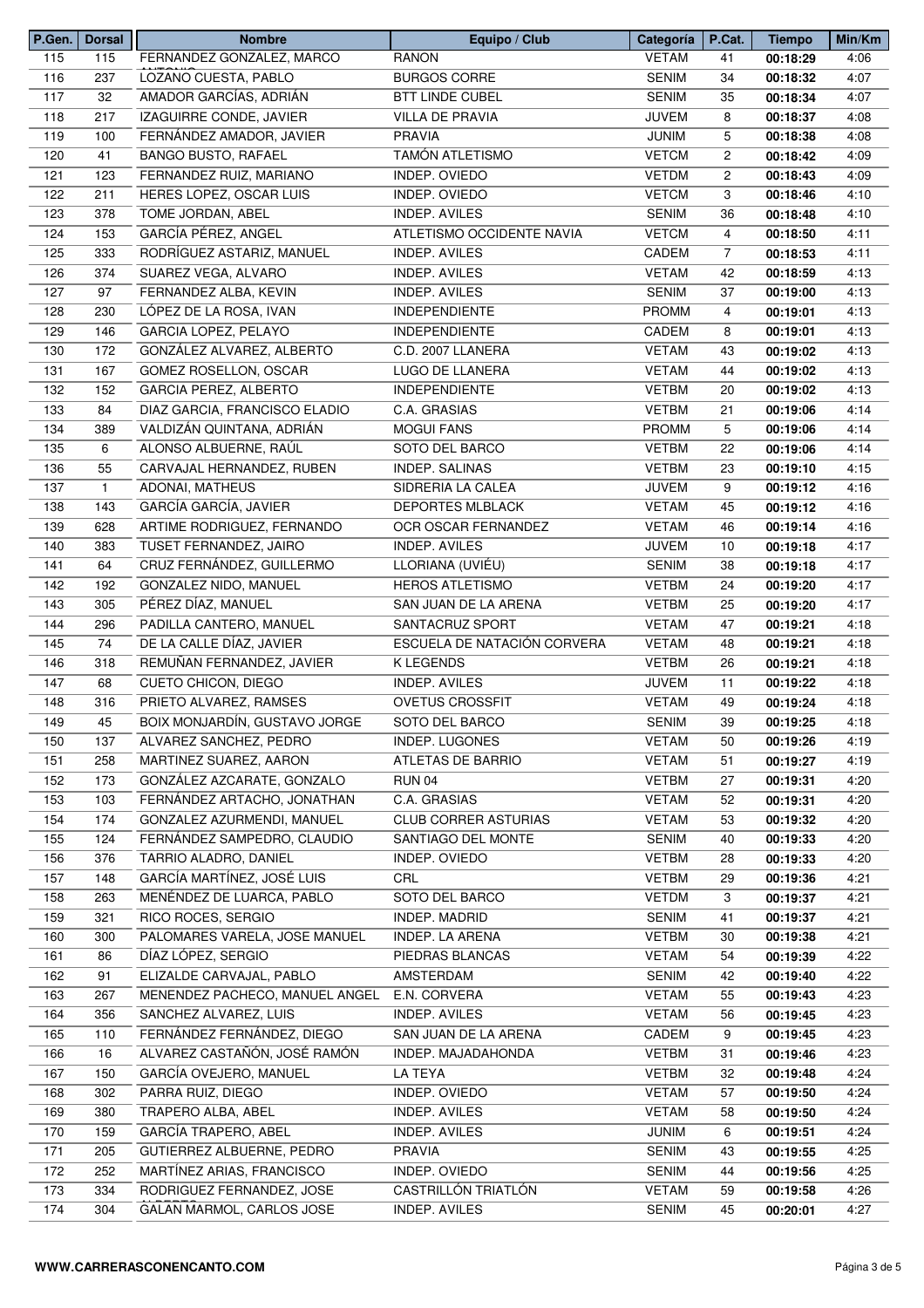| P.Gen. | <b>Dorsal</b> | <b>Nombre</b>                  | Equipo / Club               | Categoría    | P.Cat.                | <b>Tiempo</b> | Min/Km |
|--------|---------------|--------------------------------|-----------------------------|--------------|-----------------------|---------------|--------|
| 115    | 115           | FERNANDEZ GONZALEZ, MARCO      | <b>RANON</b>                | <b>VETAM</b> | 41                    | 00:18:29      | 4:06   |
| 116    | 237           | LOZANO CUESTA, PABLO           | <b>BURGOS CORRE</b>         | <b>SENIM</b> | 34                    | 00:18:32      | 4:07   |
| 117    | 32            | AMADOR GARCÍAS, ADRIÁN         | <b>BTT LINDE CUBEL</b>      | <b>SENIM</b> | 35                    | 00:18:34      | 4:07   |
| 118    | 217           | IZAGUIRRE CONDE, JAVIER        | <b>VILLA DE PRAVIA</b>      | <b>JUVEM</b> | 8                     | 00:18:37      | 4:08   |
| 119    | 100           | FERNÁNDEZ AMADOR, JAVIER       | <b>PRAVIA</b>               | <b>JUNIM</b> | 5                     | 00:18:38      | 4:08   |
| 120    | 41            | <b>BANGO BUSTO, RAFAEL</b>     | <b>TAMÓN ATLETISMO</b>      | <b>VETCM</b> | $\overline{c}$        | 00:18:42      | 4:09   |
| 121    | 123           | FERNANDEZ RUIZ, MARIANO        | INDEP. OVIEDO               | <b>VETDM</b> | $\mathbf{2}^{\prime}$ | 00:18:43      | 4:09   |
| 122    | 211           | HERES LOPEZ, OSCAR LUIS        | INDEP. OVIEDO               | <b>VETCM</b> | 3                     | 00:18:46      | 4:10   |
| 123    | 378           | TOME JORDAN, ABEL              | <b>INDEP. AVILES</b>        | <b>SENIM</b> | 36                    | 00:18:48      | 4:10   |
| 124    | 153           | GARCÍA PÉREZ, ANGEL            | ATLETISMO OCCIDENTE NAVIA   | <b>VETCM</b> | 4                     | 00:18:50      | 4:11   |
| 125    | 333           | RODRÍGUEZ ASTARIZ, MANUEL      | <b>INDEP. AVILES</b>        | <b>CADEM</b> | $\overline{7}$        | 00:18:53      | 4:11   |
| 126    | 374           | SUAREZ VEGA, ALVARO            | INDEP. AVILES               | <b>VETAM</b> | 42                    | 00:18:59      | 4:13   |
| 127    | 97            | FERNANDEZ ALBA, KEVIN          | INDEP. AVILES               | <b>SENIM</b> | 37                    |               | 4:13   |
|        |               |                                |                             |              |                       | 00:19:00      |        |
| 128    | 230           | LÓPEZ DE LA ROSA, IVAN         | <b>INDEPENDIENTE</b>        | <b>PROMM</b> | 4                     | 00:19:01      | 4:13   |
| 129    | 146           | GARCIA LOPEZ, PELAYO           | <b>INDEPENDIENTE</b>        | CADEM        | 8                     | 00:19:01      | 4:13   |
| 130    | 172           | GONZÁLEZ ALVAREZ, ALBERTO      | C.D. 2007 LLANERA           | <b>VETAM</b> | 43                    | 00:19:02      | 4:13   |
| 131    | 167           | GOMEZ ROSELLON, OSCAR          | LUGO DE LLANERA             | <b>VETAM</b> | 44                    | 00:19:02      | 4:13   |
| 132    | 152           | GARCIA PEREZ, ALBERTO          | <b>INDEPENDIENTE</b>        | <b>VETBM</b> | 20                    | 00:19:02      | 4:13   |
| 133    | 84            | DIAZ GARCIA, FRANCISCO ELADIO  | C.A. GRASIAS                | <b>VETBM</b> | 21                    | 00:19:06      | 4:14   |
| 134    | 389           | VALDIZÁN QUINTANA, ADRIÁN      | <b>MOGUI FANS</b>           | <b>PROMM</b> | 5                     | 00:19:06      | 4:14   |
| 135    | 6             | ALONSO ALBUERNE, RAÚL          | SOTO DEL BARCO              | <b>VETBM</b> | 22                    | 00:19:06      | 4:14   |
| 136    | 55            | CARVAJAL HERNANDEZ, RUBEN      | <b>INDEP. SALINAS</b>       | <b>VETBM</b> | 23                    | 00:19:10      | 4:15   |
| 137    | $\mathbf{1}$  | ADONAI, MATHEUS                | SIDRERIA LA CALEA           | <b>JUVEM</b> | 9                     | 00:19:12      | 4:16   |
| 138    | 143           | GARCÍA GARCÍA, JAVIER          | <b>DEPORTES MLBLACK</b>     | <b>VETAM</b> | 45                    | 00:19:12      | 4:16   |
| 139    | 628           | ARTIME RODRIGUEZ, FERNANDO     | OCR OSCAR FERNANDEZ         | <b>VETAM</b> | 46                    | 00:19:14      | 4:16   |
| 140    | 383           | TUSET FERNANDEZ, JAIRO         | <b>INDEP. AVILES</b>        | <b>JUVEM</b> | 10                    | 00:19:18      | 4:17   |
| 141    | 64            | CRUZ FERNÁNDEZ, GUILLERMO      | LLORIANA (UVIÉU)            | <b>SENIM</b> | 38                    | 00:19:18      | 4:17   |
| 142    | 192           | GONZALEZ NIDO, MANUEL          | <b>HEROS ATLETISMO</b>      | <b>VETBM</b> | 24                    | 00:19:20      | 4:17   |
| 143    | 305           | PÉREZ DÍAZ, MANUEL             | SAN JUAN DE LA ARENA        | <b>VETBM</b> | 25                    | 00:19:20      | 4:17   |
| 144    | 296           | PADILLA CANTERO, MANUEL        | SANTACRUZ SPORT             | <b>VETAM</b> | 47                    | 00:19:21      | 4:18   |
| 145    | 74            | DE LA CALLE DÍAZ, JAVIER       | ESCUELA DE NATACIÓN CORVERA | <b>VETAM</b> | 48                    | 00:19:21      | 4:18   |
| 146    | 318           | REMUÑAN FERNANDEZ, JAVIER      | K LEGENDS                   | <b>VETBM</b> | 26                    | 00:19:21      | 4:18   |
| 147    | 68            | CUETO CHICON, DIEGO            | INDEP. AVILES               | <b>JUVEM</b> | 11                    | 00:19:22      | 4:18   |
| 148    | 316           | PRIETO ALVAREZ, RAMSES         | <b>OVETUS CROSSFIT</b>      | <b>VETAM</b> | 49                    | 00:19:24      | 4:18   |
| 149    | 45            | BOIX MONJARDÍN, GUSTAVO JORGE  | SOTO DEL BARCO              | SENIM        | 39                    |               | 4:18   |
|        |               |                                |                             |              |                       | 00:19:25      |        |
| 150    | 137           | ALVAREZ SANCHEZ, PEDRO         | <b>INDEP. LUGONES</b>       | <b>VETAM</b> | 50                    | 00:19:26      | 4:19   |
| 151    | 258           | MARTINEZ SUAREZ, AARON         | ATLETAS DE BARRIO           | <b>VETAM</b> | 51                    | 00:19:27      | 4:19   |
| 152    | 173           | GONZÁLEZ AZCARATE, GONZALO     | <b>RUN 04</b>               | <b>VETBM</b> | 27                    | 00:19:31      | 4:20   |
| 153    | 103           | FERNÁNDEZ ARTACHO, JONATHAN    | C.A. GRASIAS                | <b>VETAM</b> | 52                    | 00:19:31      | 4:20   |
| 154    | 174           | GONZALEZ AZURMENDI, MANUEL     | <b>CLUB CORRER ASTURIAS</b> | <b>VETAM</b> | 53                    | 00:19:32      | 4:20   |
| 155    | 124           | FERNÁNDEZ SAMPEDRO, CLAUDIO    | SANTIAGO DEL MONTE          | <b>SENIM</b> | 40                    | 00:19:33      | 4:20   |
| 156    | 376           | TARRIO ALADRO, DANIEL          | INDEP. OVIEDO               | <b>VETBM</b> | 28                    | 00:19:33      | 4:20   |
| 157    | 148           | GARCÍA MARTÍNEZ, JOSÉ LUIS     | CRL                         | <b>VETBM</b> | 29                    | 00:19:36      | 4:21   |
| 158    | 263           | MENÉNDEZ DE LUARCA, PABLO      | SOTO DEL BARCO              | <b>VETDM</b> | 3                     | 00:19:37      | 4:21   |
| 159    | 321           | RICO ROCES, SERGIO             | INDEP. MADRID               | <b>SENIM</b> | 41                    | 00:19:37      | 4:21   |
| 160    | 300           | PALOMARES VARELA, JOSE MANUEL  | INDEP. LA ARENA             | <b>VETBM</b> | 30                    | 00:19:38      | 4:21   |
| 161    | 86            | DÍAZ LÓPEZ, SERGIO             | PIEDRAS BLANCAS             | <b>VETAM</b> | 54                    | 00:19:39      | 4:22   |
| 162    | 91            | ELIZALDE CARVAJAL, PABLO       | AMSTERDAM                   | <b>SENIM</b> | 42                    | 00:19:40      | 4:22   |
| 163    | 267           | MENENDEZ PACHECO, MANUEL ANGEL | E.N. CORVERA                | <b>VETAM</b> | 55                    | 00:19:43      | 4:23   |
| 164    | 356           | SANCHEZ ALVAREZ, LUIS          | INDEP. AVILES               | <b>VETAM</b> | 56                    | 00:19:45      | 4:23   |
| 165    | 110           | FERNÁNDEZ FERNÁNDEZ, DIEGO     | SAN JUAN DE LA ARENA        | CADEM        | 9                     | 00:19:45      | 4:23   |
| 166    | 16            | ALVAREZ CASTAÑÓN, JOSÉ RAMÓN   | INDEP. MAJADAHONDA          | <b>VETBM</b> | 31                    | 00:19:46      | 4:23   |
| 167    | 150           | GARCÍA OVEJERO, MANUEL         | LA TEYA                     | <b>VETBM</b> | 32                    | 00:19:48      | 4:24   |
| 168    | 302           | PARRA RUIZ, DIEGO              | INDEP. OVIEDO               | <b>VETAM</b> | 57                    | 00:19:50      | 4:24   |
| 169    | 380           | TRAPERO ALBA, ABEL             | INDEP. AVILES               | <b>VETAM</b> | 58                    | 00:19:50      | 4:24   |
|        |               | GARCÍA TRAPERO, ABEL           |                             |              |                       |               | 4:24   |
| 170    | 159           |                                | INDEP. AVILES               | <b>JUNIM</b> | 6                     | 00:19:51      |        |
| 171    | 205           | GUTIERREZ ALBUERNE, PEDRO      | <b>PRAVIA</b>               | <b>SENIM</b> | 43                    | 00:19:55      | 4:25   |
| 172    | 252           | MARTÍNEZ ARIAS, FRANCISCO      | INDEP. OVIEDO               | <b>SENIM</b> | 44                    | 00:19:56      | 4:25   |
| 173    | 334           | RODRIGUEZ FERNANDEZ, JOSE      | CASTRILLÓN TRIATLÓN         | <b>VETAM</b> | 59                    | 00:19:58      | 4:26   |
| 174    | 304           | GALAN MARMOL, CARLOS JOSE      | INDEP. AVILES               | <b>SENIM</b> | 45                    | 00:20:01      | 4:27   |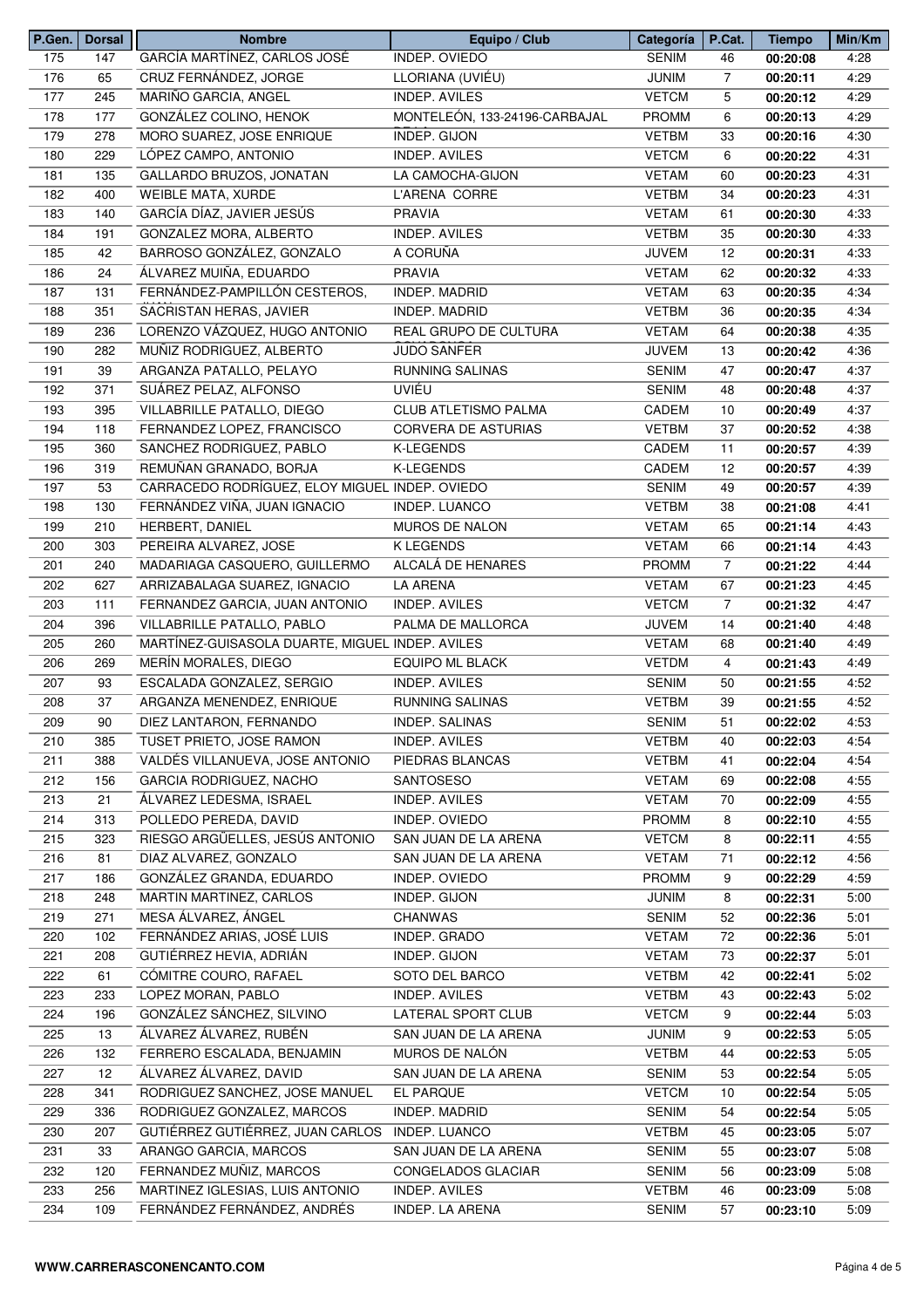| P.Gen. | Dorsal | <b>Nombre</b>                                   | Equipo / Club                 | Categoría    | P.Cat.         | <b>Tiempo</b> | Min/Km |
|--------|--------|-------------------------------------------------|-------------------------------|--------------|----------------|---------------|--------|
| 175    | 147    | GARCÍA MARTÍNEZ, CARLOS JOSÉ                    | INDEP. OVIEDO                 | <b>SENIM</b> | 46             | 00:20:08      | 4:28   |
| 176    | 65     | CRUZ FERNÁNDEZ, JORGE                           | LLORIANA (UVIÉU)              | <b>JUNIM</b> | $\overline{7}$ | 00:20:11      | 4:29   |
| 177    | 245    | MARIÑO GARCIA, ANGEL                            | INDEP. AVILES                 | <b>VETCM</b> | 5              | 00:20:12      | 4:29   |
| 178    | 177    | GONZÁLEZ COLINO, HENOK                          | MONTELEÓN, 133-24196-CARBAJAL | <b>PROMM</b> | 6              | 00:20:13      | 4:29   |
| 179    | 278    | MORO SUAREZ, JOSE ENRIQUE                       | INDEP. GIJON                  | <b>VETBM</b> | 33             | 00:20:16      | 4:30   |
| 180    | 229    | LÓPEZ CAMPO, ANTONIO                            | <b>INDEP. AVILES</b>          | <b>VETCM</b> | 6              | 00:20:22      | 4:31   |
| 181    | 135    | GALLARDO BRUZOS, JONATAN                        | LA CAMOCHA-GIJON              | <b>VETAM</b> | 60             | 00:20:23      | 4:31   |
| 182    | 400    | <b>WEIBLE MATA, XURDE</b>                       | L'ARENA CORRE                 | <b>VETBM</b> | 34             | 00:20:23      | 4:31   |
| 183    | 140    | GARCÍA DÍAZ, JAVIER JESÚS                       | <b>PRAVIA</b>                 | <b>VETAM</b> | 61             | 00:20:30      | 4:33   |
| 184    | 191    | GONZALEZ MORA, ALBERTO                          | <b>INDEP. AVILES</b>          | <b>VETBM</b> | 35             | 00:20:30      | 4:33   |
| 185    | 42     | BARROSO GONZÁLEZ, GONZALO                       | A CORUÑA                      | <b>JUVEM</b> | 12             | 00:20:31      | 4:33   |
| 186    | 24     | ÁLVAREZ MUIÑA, EDUARDO                          | <b>PRAVIA</b>                 | <b>VETAM</b> | 62             | 00:20:32      | 4:33   |
| 187    | 131    | FERNÁNDEZ-PAMPILLÓN CESTEROS,                   | INDEP. MADRID                 | <b>VETAM</b> | 63             | 00:20:35      | 4:34   |
| 188    | 351    | SACRISTAN HERAS, JAVIER                         | INDEP. MADRID                 | <b>VETBM</b> | 36             | 00:20:35      | 4:34   |
| 189    | 236    | LORENZO VÁZQUEZ, HUGO ANTONIO                   | REAL GRUPO DE CULTURA         | <b>VETAM</b> | 64             | 00:20:38      | 4:35   |
| 190    | 282    | MUÑIZ RODRIGUEZ, ALBERTO                        | JUDO SANFER                   | <b>JUVEM</b> | 13             | 00:20:42      | 4:36   |
| 191    | 39     | ARGANZA PATALLO, PELAYO                         | <b>RUNNING SALINAS</b>        | <b>SENIM</b> | 47             | 00:20:47      | 4:37   |
|        |        |                                                 | UVIÉU                         |              |                |               |        |
| 192    | 371    | SUÁREZ PELAZ, ALFONSO                           |                               | <b>SENIM</b> | 48             | 00:20:48      | 4:37   |
| 193    | 395    | VILLABRILLE PATALLO, DIEGO                      | CLUB ATLETISMO PALMA          | CADEM        | 10             | 00:20:49      | 4:37   |
| 194    | 118    | FERNANDEZ LOPEZ, FRANCISCO                      | <b>CORVERA DE ASTURIAS</b>    | <b>VETBM</b> | 37             | 00:20:52      | 4:38   |
| 195    | 360    | SANCHEZ RODRIGUEZ, PABLO                        | K-LEGENDS                     | CADEM        | 11             | 00:20:57      | 4:39   |
| 196    | 319    | REMUÑAN GRANADO, BORJA                          | <b>K-LEGENDS</b>              | CADEM        | 12             | 00:20:57      | 4:39   |
| 197    | 53     | CARRACEDO RODRÍGUEZ, ELOY MIGUEL INDEP. OVIEDO  |                               | <b>SENIM</b> | 49             | 00:20:57      | 4:39   |
| 198    | 130    | FERNÁNDEZ VIÑA, JUAN IGNACIO                    | INDEP. LUANCO                 | <b>VETBM</b> | 38             | 00:21:08      | 4:41   |
| 199    | 210    | HERBERT, DANIEL                                 | <b>MUROS DE NALON</b>         | <b>VETAM</b> | 65             | 00:21:14      | 4:43   |
| 200    | 303    | PEREIRA ALVAREZ, JOSE                           | <b>K LEGENDS</b>              | <b>VETAM</b> | 66             | 00:21:14      | 4:43   |
| 201    | 240    | MADARIAGA CASQUERO, GUILLERMO                   | ALCALÁ DE HENARES             | <b>PROMM</b> | $\overline{7}$ | 00:21:22      | 4:44   |
| 202    | 627    | ARRIZABALAGA SUAREZ, IGNACIO                    | <b>LA ARENA</b>               | <b>VETAM</b> | 67             | 00:21:23      | 4:45   |
| 203    | 111    | FERNANDEZ GARCIA, JUAN ANTONIO                  | INDEP. AVILES                 | <b>VETCM</b> | $\overline{7}$ | 00:21:32      | 4:47   |
| 204    | 396    | VILLABRILLE PATALLO, PABLO                      | PALMA DE MALLORCA             | <b>JUVEM</b> | 14             | 00:21:40      | 4:48   |
| 205    | 260    | MARTÍNEZ-GUISASOLA DUARTE, MIGUEL INDEP. AVILES |                               | <b>VETAM</b> | 68             | 00:21:40      | 4:49   |
| 206    | 269    | MERÍN MORALES, DIEGO                            | <b>EQUIPO ML BLACK</b>        | <b>VETDM</b> | 4              | 00:21:43      | 4:49   |
| 207    | 93     | ESCALADA GONZALEZ, SERGIO                       | <b>INDEP. AVILES</b>          | <b>SENIM</b> | 50             | 00:21:55      | 4:52   |
| 208    | 37     | ARGANZA MENENDEZ, ENRIQUE                       | RUNNING SALINAS               | <b>VETBM</b> | 39             | 00:21:55      | 4:52   |
| 209    | 90     | DIEZ LANTARON, FERNANDO                         | <b>INDEP. SALINAS</b>         | <b>SENIM</b> | 51             | 00:22:02      | 4:53   |
| 210    | 385    | TUSET PRIETO, JOSE RAMON                        | <b>INDEP. AVILES</b>          | <b>VETBM</b> | 40             | 00:22:03      | 4:54   |
| 211    | 388    | VALDÉS VILLANUEVA, JOSE ANTONIO                 | PIEDRAS BLANCAS               | <b>VETBM</b> | 41             | 00:22:04      | 4:54   |
| 212    | 156    | GARCIA RODRIGUEZ, NACHO                         | SANTOSESO                     | <b>VETAM</b> | 69             | 00:22:08      | 4:55   |
| 213    | 21     | ÁLVAREZ LEDESMA, ISRAEL                         | INDEP. AVILES                 | <b>VETAM</b> | 70             | 00:22:09      | 4:55   |
| 214    | 313    | POLLEDO PEREDA, DAVID                           | INDEP. OVIEDO                 | <b>PROMM</b> | 8              | 00:22:10      | 4:55   |
| 215    | 323    | RIESGO ARGÜELLES, JESÚS ANTONIO                 | SAN JUAN DE LA ARENA          | <b>VETCM</b> | 8              | 00:22:11      | 4:55   |
| 216    | 81     | DIAZ ALVAREZ, GONZALO                           | SAN JUAN DE LA ARENA          | <b>VETAM</b> | 71             | 00:22:12      | 4:56   |
| 217    | 186    | GONZÁLEZ GRANDA, EDUARDO                        | INDEP. OVIEDO                 | <b>PROMM</b> | 9              | 00:22:29      | 4:59   |
| 218    | 248    | MARTIN MARTINEZ, CARLOS                         | INDEP. GIJON                  | <b>JUNIM</b> | 8              | 00:22:31      | 5:00   |
| 219    | 271    | MESA ÁLVAREZ, ÁNGEL                             | <b>CHANWAS</b>                | SENIM        | 52             | 00:22:36      | 5:01   |
| 220    | 102    | FERNÁNDEZ ARIAS, JOSÉ LUIS                      | INDEP. GRADO                  | <b>VETAM</b> | 72             | 00:22:36      | 5:01   |
| 221    | 208    | GUTIÉRREZ HEVIA, ADRIÁN                         | INDEP. GIJON                  | <b>VETAM</b> | 73             | 00:22:37      | 5:01   |
| 222    | 61     | CÓMITRE COURO, RAFAEL                           | SOTO DEL BARCO                | <b>VETBM</b> | 42             | 00:22:41      | 5:02   |
| 223    | 233    | LOPEZ MORAN, PABLO                              | INDEP. AVILES                 | <b>VETBM</b> | 43             | 00:22:43      | 5:02   |
| 224    | 196    | GONZÁLEZ SÁNCHEZ, SILVINO                       | LATERAL SPORT CLUB            | <b>VETCM</b> | 9              | 00:22:44      | 5:03   |
| 225    | 13     | ÁLVAREZ ÁLVAREZ, RUBÉN                          | SAN JUAN DE LA ARENA          | <b>JUNIM</b> | 9              | 00:22:53      | 5:05   |
| 226    | 132    | FERRERO ESCALADA, BENJAMIN                      | MUROS DE NALÓN                | <b>VETBM</b> | 44             | 00:22:53      | 5:05   |
| 227    | 12     | ÁLVAREZ ÁLVAREZ, DAVID                          | SAN JUAN DE LA ARENA          | <b>SENIM</b> | 53             | 00:22:54      | 5:05   |
| 228    | 341    | RODRIGUEZ SANCHEZ, JOSE MANUEL                  | EL PARQUE                     | <b>VETCM</b> |                |               | 5:05   |
|        |        |                                                 |                               |              | 10             | 00:22:54      |        |
| 229    | 336    | RODRIGUEZ GONZALEZ, MARCOS                      | INDEP. MADRID                 | <b>SENIM</b> | 54             | 00:22:54      | 5:05   |
| 230    | 207    | GUTIÉRREZ GUTIÉRREZ, JUAN CARLOS                | INDEP. LUANCO                 | <b>VETBM</b> | 45             | 00:23:05      | 5:07   |
| 231    | 33     | ARANGO GARCIA, MARCOS                           | SAN JUAN DE LA ARENA          | <b>SENIM</b> | 55             | 00:23:07      | 5:08   |
| 232    | 120    | FERNANDEZ MUÑIZ, MARCOS                         | CONGELADOS GLACIAR            | <b>SENIM</b> | 56             | 00:23:09      | 5:08   |
| 233    | 256    | MARTINEZ IGLESIAS, LUIS ANTONIO                 | INDEP. AVILES                 | <b>VETBM</b> | 46             | 00:23:09      | 5:08   |
| 234    | 109    | FERNÁNDEZ FERNÁNDEZ, ANDRÉS                     | INDEP. LA ARENA               | <b>SENIM</b> | 57             | 00:23:10      | 5:09   |